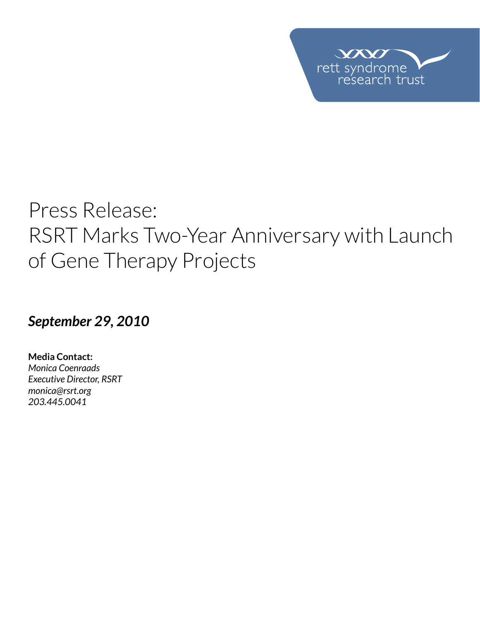

# Press Release: RSRT Marks Two-Year Anniversary with Launch of Gene Therapy Projects

## *September 29, 2010*

**Media Contact:**  *Monica Coenraads Executive Director, RSRT [monica@rsrt.org](mailto:monica%40rsrt.org?subject=Press%20Release%20%7C%20CSO%20Announce) 203.445.0041*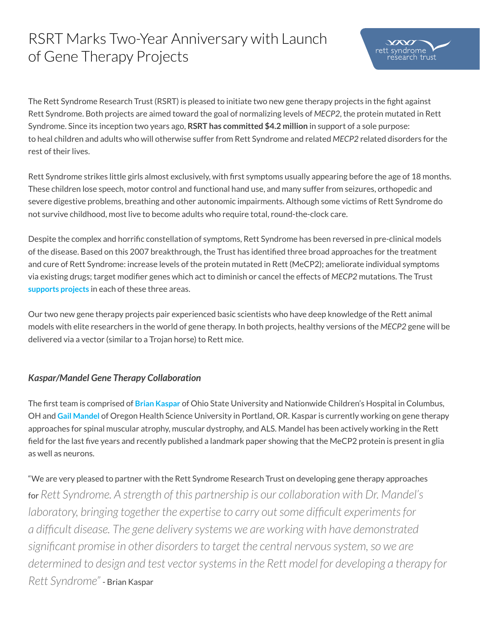# RSRT Marks Two-Year Anniversary with Launch of Gene Therapy Projects

The Rett Syndrome Research Trust (RSRT) is pleased to initiate two new gene therapy projects in the fight against Rett Syndrome. Both projects are aimed toward the goal of normalizing levels of *MECP2*, the protein mutated in Rett Syndrome. Since its inception two years ago, **RSRT has committed \$4.2 million** in support of a sole purpose: to heal children and adults who will otherwise suffer from Rett Syndrome and related *MECP2* related disorders for the rest of their lives.

Rett Syndrome strikes little girls almost exclusively, with first symptoms usually appearing before the age of 18 months. These children lose speech, motor control and functional hand use, and many suffer from seizures, orthopedic and severe digestive problems, breathing and other autonomic impairments. Although some victims of Rett Syndrome do not survive childhood, most live to become adults who require total, round-the-clock care.

Despite the complex and horrific constellation of symptoms, Rett Syndrome has been reversed in pre-clinical models of the disease. Based on this 2007 breakthrough, the Trust has identified three broad approaches for the treatment and cure of Rett Syndrome: increase levels of the protein mutated in Rett (MeCP2); ameliorate individual symptoms via existing drugs; target modifier genes which act to diminish or cancel the effects of *MECP2* mutations. The Trust **[supports projects](http://reverserett.org/research/)** in each of these three areas.

Our two new gene therapy projects pair experienced basic scientists who have deep knowledge of the Rett animal models with elite researchers in the world of gene therapy. In both projects, healthy versions of the *MECP2* gene will be delivered via a vector (similar to a Trojan horse) to Rett mice.

### *Kaspar/Mandel Gene Therapy Collaboration*

The first team is comprised of **[Brian Kaspar](http://www.nationwidechildrens.org/brian-k-kaspar)** of Ohio State University and Nationwide Children's Hospital in Columbus, OH and **[Gail Mandel](http://www.ohsu.edu/xd/research/centers-institutes/vollum/faculty/faculty-profile.cfm%3FfacultyID%3D465)** of Oregon Health Science University in Portland, OR. Kaspar is currently working on gene therapy approaches for spinal muscular atrophy, muscular dystrophy, and ALS. Mandel has been actively working in the Rett field for the last five years and recently published a landmark paper showing that the MeCP2 protein is present in glia as well as neurons.

"We are very pleased to partner with the Rett Syndrome Research Trust on developing gene therapy approaches for *Rett Syndrome. A strength of this partnership is our collaboration with Dr. Mandel's laboratory, bringing together the expertise to carry out some difficult experiments for a difficult disease. The gene delivery systems we are working with have demonstrated significant promise in other disorders to target the central nervous system, so we are determined to design and test vector systems in the Rett model for developing a therapy for Rett Syndrome"* - Brian Kaspar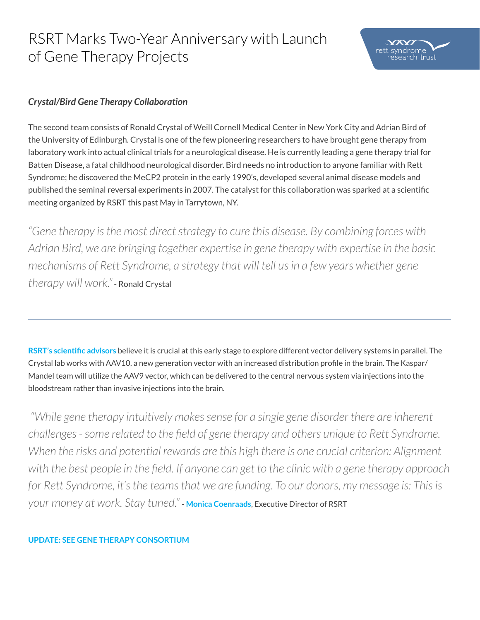# RSRT Marks Two-Year Anniversary with Launch of Gene Therapy Projects

### *Crystal/Bird Gene Therapy Collaboration*

The second team consists of Ronald Crystal of Weill Cornell Medical Center in New York City and Adrian Bird of the University of Edinburgh. Crystal is one of the few pioneering researchers to have brought gene therapy from laboratory work into actual clinical trials for a neurological disease. He is currently leading a gene therapy trial for Batten Disease, a fatal childhood neurological disorder. Bird needs no introduction to anyone familiar with Rett Syndrome; he discovered the MeCP2 protein in the early 1990's, developed several animal disease models and published the seminal reversal experiments in 2007. The catalyst for this collaboration was sparked at a scientific meeting organized by RSRT this past May in Tarrytown, NY.

*"Gene therapy is the most direct strategy to cure this disease. By combining forces with Adrian Bird, we are bringing together expertise in gene therapy with expertise in the basic mechanisms of Rett Syndrome, a strategy that will tell us in a few years whether gene therapy will work."* - Ronald Crystal

**[RSRT's scientific advisors](http://reverserett.org/about-us/)** believe it is crucial at this early stage to explore different vector delivery systems in parallel. The Crystal lab works with AAV10, a new generation vector with an increased distribution profile in the brain. The Kaspar/ Mandel team will utilize the AAV9 vector, which can be delivered to the central nervous system via injections into the bloodstream rather than invasive injections into the brain.

 *"While gene therapy intuitively makes sense for a single gene disorder there are inherent challenges - some related to the field of gene therapy and others unique to Rett Syndrome. When the risks and potential rewards are this high there is one crucial criterion: Alignment with the best people in the field. If anyone can get to the clinic with a gene therapy approach*  for Rett Syndrome, it's the teams that we are funding. To our donors, my message is: This is *your money at work. Stay tuned."* - **[Monica Coenraads](http://reverserett.org/about-us/people/monica-coenraads/)**, Executive Director of RSRT

#### **[UPDATE: SEE GENE THERAPY CONSORTIUM](http://reverserett.org/research/consortia/gene-therapy-consortium/)**